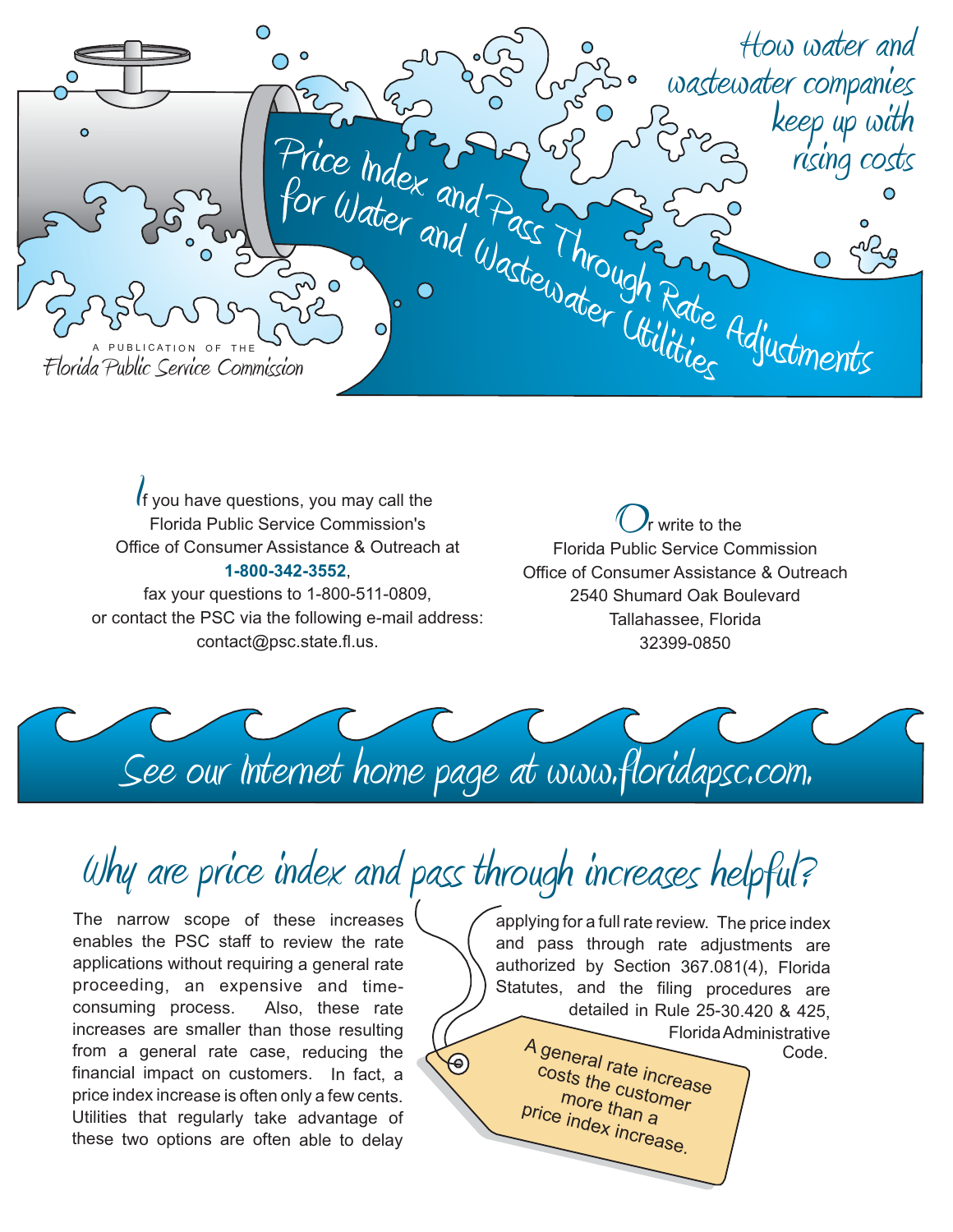

f you have questions, you may call the Florida Public Service Commission's Office of Consumer Assistance & Outreach at , **1-800-342-3552** *If* you have questions, you may call the<br>Florida Public Service Commission's<br>Fice of Consumer Assistance & Outreach at

fax your questions to 1-800-511-0809, or contact the PSC via the following e-mail address: contact@psc.state.fl.us.

r write to the Florida Public Service Commission Office of Consumer Assistance & Outreach 2540 Shumard Oak Boulevard Tallahassee, Florida 32399-0850



## Why are price index and pass through increases helpful?

The narrow scope of these increases enables the PSC staff to review the rate applications without requiring <sup>a</sup> general rate proceeding, an expensive and timeconsuming process. Also, these rate increases are smaller than those resulting from <sup>a</sup> general rate case, reducing the financial impact on customers. In fact, <sup>a</sup> price index increase is often only <sup>a</sup> few cents. Utilities that regularly take advantage of these two options are often able to delay

applying for <sup>a</sup> full rate review. The price index and pass through rate adjustments are authorized by Section 367.081(4), Florida Statutes, and the filing procedures are detailed in Rule 25-30.420 & 425, FloridaAdministrative A general Code. $\Theta$ costs the customer <sup>r</sup>ate increase<br><sup>} Custo</sup> more than a<br>Indo price index increase.